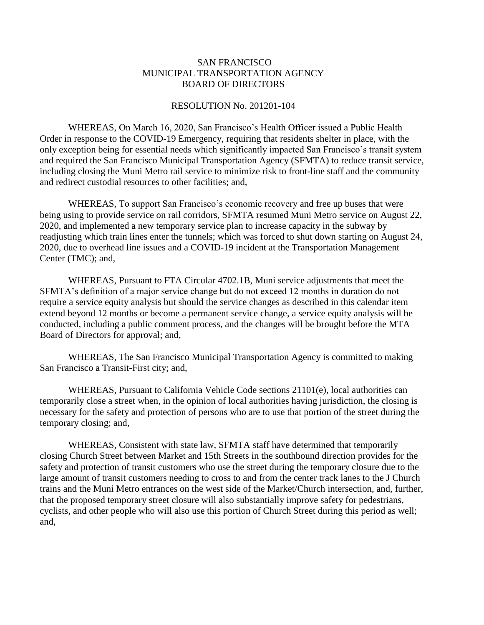## SAN FRANCISCO MUNICIPAL TRANSPORTATION AGENCY BOARD OF DIRECTORS

## RESOLUTION No. 201201-104

WHEREAS, On March 16, 2020, San Francisco's Health Officer issued a Public Health Order in response to the COVID-19 Emergency, requiring that residents shelter in place, with the only exception being for essential needs which significantly impacted San Francisco's transit system and required the San Francisco Municipal Transportation Agency (SFMTA) to reduce transit service, including closing the Muni Metro rail service to minimize risk to front-line staff and the community and redirect custodial resources to other facilities; and,

WHEREAS, To support San Francisco's economic recovery and free up buses that were being using to provide service on rail corridors, SFMTA resumed Muni Metro service on August 22, 2020, and implemented a new temporary service plan to increase capacity in the subway by readjusting which train lines enter the tunnels; which was forced to shut down starting on August 24, 2020, due to overhead line issues and a COVID-19 incident at the Transportation Management Center (TMC); and,

WHEREAS, Pursuant to FTA Circular 4702.1B, Muni service adjustments that meet the SFMTA's definition of a major service change but do not exceed 12 months in duration do not require a service equity analysis but should the service changes as described in this calendar item extend beyond 12 months or become a permanent service change, a service equity analysis will be conducted, including a public comment process, and the changes will be brought before the MTA Board of Directors for approval; and,

WHEREAS, The San Francisco Municipal Transportation Agency is committed to making San Francisco a Transit-First city; and,

WHEREAS, Pursuant to California Vehicle Code sections 21101(e), local authorities can temporarily close a street when, in the opinion of local authorities having jurisdiction, the closing is necessary for the safety and protection of persons who are to use that portion of the street during the temporary closing; and,

WHEREAS, Consistent with state law, SFMTA staff have determined that temporarily closing Church Street between Market and 15th Streets in the southbound direction provides for the safety and protection of transit customers who use the street during the temporary closure due to the large amount of transit customers needing to cross to and from the center track lanes to the J Church trains and the Muni Metro entrances on the west side of the Market/Church intersection, and, further, that the proposed temporary street closure will also substantially improve safety for pedestrians, cyclists, and other people who will also use this portion of Church Street during this period as well; and,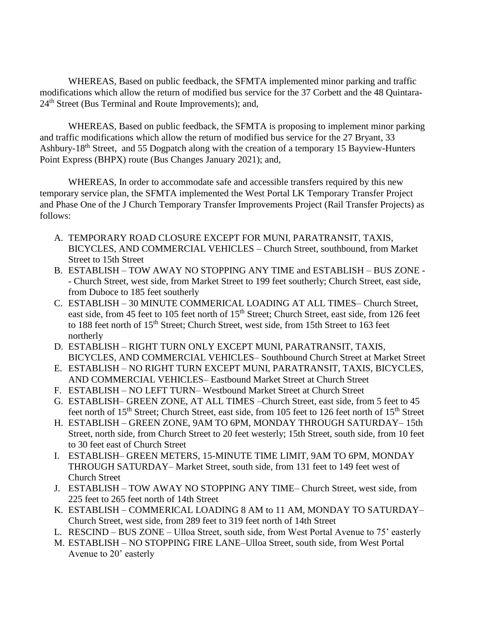WHEREAS, Based on public feedback, the SFMTA implemented minor parking and traffic modifications which allow the return of modified bus service for the 37 Corbett and the 48 Quintara-24<sup>th</sup> Street (Bus Terminal and Route Improvements); and,

WHEREAS, Based on public feedback, the SFMTA is proposing to implement minor parking and traffic modifications which allow the return of modified bus service for the 27 Bryant, 33 Ashbury-18<sup>th</sup> Street, and 55 Dogpatch along with the creation of a temporary 15 Bayview-Hunters Point Express (BHPX) route (Bus Changes January 2021); and,

WHEREAS, In order to accommodate safe and accessible transfers required by this new temporary service plan, the SFMTA implemented the West Portal LK Temporary Transfer Project and Phase One of the J Church Temporary Transfer Improvements Project (Rail Transfer Projects) as follows:

- A. TEMPORARY ROAD CLOSURE EXCEPT FOR MUNI, PARATRANSIT, TAXIS, BICYCLES, AND COMMERCIAL VEHICLES – Church Street, southbound, from Market Street to 15th Street
- B. ESTABLISH TOW AWAY NO STOPPING ANY TIME and ESTABLISH BUS ZONE - Church Street, west side, from Market Street to 199 feet southerly; Church Street, east side, from Duboce to 185 feet southerly
- C. ESTABLISH 30 MINUTE COMMERICAL LOADING AT ALL TIMES– Church Street, east side, from 45 feet to 105 feet north of 15<sup>th</sup> Street; Church Street, east side, from 126 feet to 188 feet north of 15<sup>th</sup> Street; Church Street, west side, from 15th Street to 163 feet northerly
- D. ESTABLISH RIGHT TURN ONLY EXCEPT MUNI, PARATRANSIT, TAXIS, BICYCLES, AND COMMERCIAL VEHICLES– Southbound Church Street at Market Street
- E. ESTABLISH NO RIGHT TURN EXCEPT MUNI, PARATRANSIT, TAXIS, BICYCLES, AND COMMERCIAL VEHICLES– Eastbound Market Street at Church Street
- F. ESTABLISH NO LEFT TURN– Westbound Market Street at Church Street
- G. ESTABLISH– GREEN ZONE, AT ALL TIMES –Church Street, east side, from 5 feet to 45 feet north of 15<sup>th</sup> Street; Church Street, east side, from 105 feet to 126 feet north of 15<sup>th</sup> Street
- H. ESTABLISH GREEN ZONE, 9AM TO 6PM, MONDAY THROUGH SATURDAY– 15th Street, north side, from Church Street to 20 feet westerly; 15th Street, south side, from 10 feet to 30 feet east of Church Street
- I. ESTABLISH– GREEN METERS, 15-MINUTE TIME LIMIT, 9AM TO 6PM, MONDAY THROUGH SATURDAY– Market Street, south side, from 131 feet to 149 feet west of Church Street
- J. ESTABLISH TOW AWAY NO STOPPING ANY TIME– Church Street, west side, from 225 feet to 265 feet north of 14th Street
- K. ESTABLISH COMMERICAL LOADING 8 AM to 11 AM, MONDAY TO SATURDAY– Church Street, west side, from 289 feet to 319 feet north of 14th Street
- L. RESCIND BUS ZONE Ulloa Street, south side, from West Portal Avenue to 75' easterly
- M. ESTABLISH NO STOPPING FIRE LANE–Ulloa Street, south side, from West Portal Avenue to 20' easterly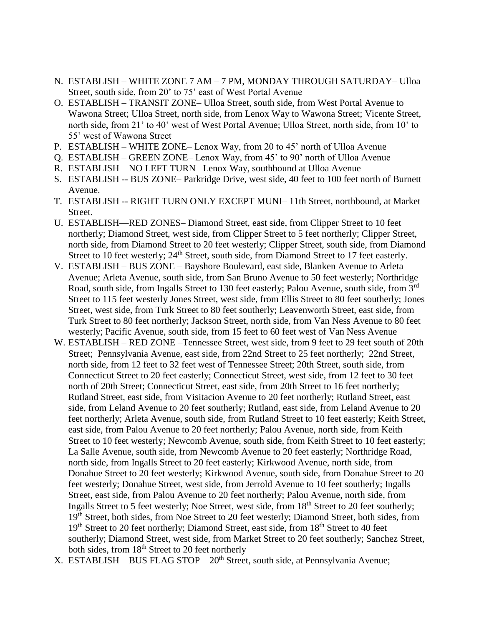- N. ESTABLISH WHITE ZONE 7 AM 7 PM, MONDAY THROUGH SATURDAY– Ulloa Street, south side, from 20' to 75' east of West Portal Avenue
- O. ESTABLISH TRANSIT ZONE– Ulloa Street, south side, from West Portal Avenue to Wawona Street; Ulloa Street, north side, from Lenox Way to Wawona Street; Vicente Street, north side, from 21' to 40' west of West Portal Avenue; Ulloa Street, north side, from 10' to 55' west of Wawona Street
- P. ESTABLISH WHITE ZONE– Lenox Way, from 20 to 45' north of Ulloa Avenue
- Q. ESTABLISH GREEN ZONE– Lenox Way, from 45' to 90' north of Ulloa Avenue
- R. ESTABLISH NO LEFT TURN– Lenox Way, southbound at Ulloa Avenue
- S. ESTABLISH -- BUS ZONE– Parkridge Drive, west side, 40 feet to 100 feet north of Burnett Avenue.
- T. ESTABLISH -- RIGHT TURN ONLY EXCEPT MUNI– 11th Street, northbound, at Market Street.
- U. ESTABLISH—RED ZONES– Diamond Street, east side, from Clipper Street to 10 feet northerly; Diamond Street, west side, from Clipper Street to 5 feet northerly; Clipper Street, north side, from Diamond Street to 20 feet westerly; Clipper Street, south side, from Diamond Street to 10 feet westerly;  $24<sup>th</sup>$  Street, south side, from Diamond Street to 17 feet easterly.
- V. ESTABLISH BUS ZONE Bayshore Boulevard, east side, Blanken Avenue to Arleta Avenue; Arleta Avenue, south side, from San Bruno Avenue to 50 feet westerly; Northridge Road, south side, from Ingalls Street to 130 feet easterly; Palou Avenue, south side, from 3<sup>rd</sup> Street to 115 feet westerly Jones Street, west side, from Ellis Street to 80 feet southerly; Jones Street, west side, from Turk Street to 80 feet southerly; Leavenworth Street, east side, from Turk Street to 80 feet northerly; Jackson Street, north side, from Van Ness Avenue to 80 feet westerly; Pacific Avenue, south side, from 15 feet to 60 feet west of Van Ness Avenue
- W. ESTABLISH RED ZONE –Tennessee Street, west side, from 9 feet to 29 feet south of 20th Street; Pennsylvania Avenue, east side, from 22nd Street to 25 feet northerly; 22nd Street, north side, from 12 feet to 32 feet west of Tennessee Street; 20th Street, south side, from Connecticut Street to 20 feet easterly; Connecticut Street, west side, from 12 feet to 30 feet north of 20th Street; Connecticut Street, east side, from 20th Street to 16 feet northerly; Rutland Street, east side, from Visitacion Avenue to 20 feet northerly; Rutland Street, east side, from Leland Avenue to 20 feet southerly; Rutland, east side, from Leland Avenue to 20 feet northerly; Arleta Avenue, south side, from Rutland Street to 10 feet easterly; Keith Street, east side, from Palou Avenue to 20 feet northerly; Palou Avenue, north side, from Keith Street to 10 feet westerly; Newcomb Avenue, south side, from Keith Street to 10 feet easterly; La Salle Avenue, south side, from Newcomb Avenue to 20 feet easterly; Northridge Road, north side, from Ingalls Street to 20 feet easterly; Kirkwood Avenue, north side, from Donahue Street to 20 feet westerly; Kirkwood Avenue, south side, from Donahue Street to 20 feet westerly; Donahue Street, west side, from Jerrold Avenue to 10 feet southerly; Ingalls Street, east side, from Palou Avenue to 20 feet northerly; Palou Avenue, north side, from Ingalls Street to 5 feet westerly; Noe Street, west side, from  $18<sup>th</sup>$  Street to 20 feet southerly; 19<sup>th</sup> Street, both sides, from Noe Street to 20 feet westerly; Diamond Street, both sides, from 19<sup>th</sup> Street to 20 feet northerly; Diamond Street, east side, from 18<sup>th</sup> Street to 40 feet southerly; Diamond Street, west side, from Market Street to 20 feet southerly; Sanchez Street, both sides, from 18<sup>th</sup> Street to 20 feet northerly
- X. ESTABLISH—BUS FLAG STOP—20<sup>th</sup> Street, south side, at Pennsylvania Avenue;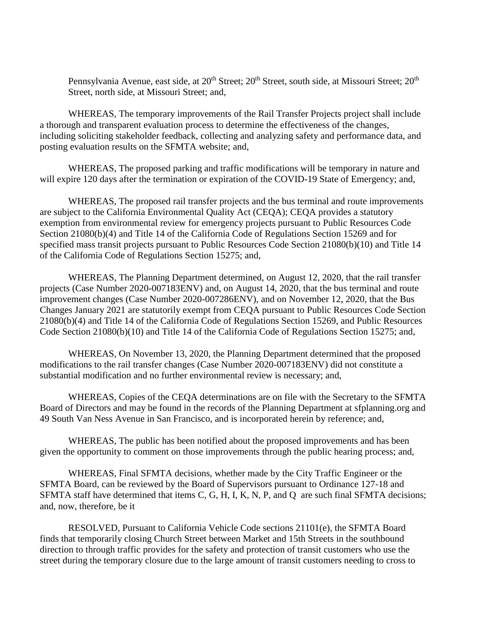Pennsylvania Avenue, east side, at 20<sup>th</sup> Street; 20<sup>th</sup> Street, south side, at Missouri Street; 20<sup>th</sup> Street, north side, at Missouri Street; and,

WHEREAS, The temporary improvements of the Rail Transfer Projects project shall include a thorough and transparent evaluation process to determine the effectiveness of the changes, including soliciting stakeholder feedback, collecting and analyzing safety and performance data, and posting evaluation results on the SFMTA website; and,

WHEREAS, The proposed parking and traffic modifications will be temporary in nature and will expire 120 days after the termination or expiration of the COVID-19 State of Emergency; and,

WHEREAS, The proposed rail transfer projects and the bus terminal and route improvements are subject to the California Environmental Quality Act (CEQA); CEQA provides a statutory exemption from environmental review for emergency projects pursuant to Public Resources Code Section 21080(b)(4) and Title 14 of the California Code of Regulations Section 15269 and for specified mass transit projects pursuant to Public Resources Code Section 21080(b)(10) and Title 14 of the California Code of Regulations Section 15275; and,

WHEREAS, The Planning Department determined, on August 12, 2020, that the rail transfer projects (Case Number 2020-007183ENV) and, on August 14, 2020, that the bus terminal and route improvement changes (Case Number 2020-007286ENV), and on November 12, 2020, that the Bus Changes January 2021 are statutorily exempt from CEQA pursuant to Public Resources Code Section 21080(b)(4) and Title 14 of the California Code of Regulations Section 15269, and Public Resources Code Section 21080(b)(10) and Title 14 of the California Code of Regulations Section 15275; and,

WHEREAS, On November 13, 2020, the Planning Department determined that the proposed modifications to the rail transfer changes (Case Number 2020-007183ENV) did not constitute a substantial modification and no further environmental review is necessary; and,

WHEREAS, Copies of the CEQA determinations are on file with the Secretary to the SFMTA Board of Directors and may be found in the records of the Planning Department at sfplanning.org and 49 South Van Ness Avenue in San Francisco, and is incorporated herein by reference; and,

WHEREAS, The public has been notified about the proposed improvements and has been given the opportunity to comment on those improvements through the public hearing process; and,

WHEREAS, Final SFMTA decisions, whether made by the City Traffic Engineer or the SFMTA Board, can be reviewed by the Board of Supervisors pursuant to Ordinance 127-18 and SFMTA staff have determined that items C, G, H, I, K, N, P, and Q are such final SFMTA decisions; and, now, therefore, be it

RESOLVED, Pursuant to California Vehicle Code sections 21101(e), the SFMTA Board finds that temporarily closing Church Street between Market and 15th Streets in the southbound direction to through traffic provides for the safety and protection of transit customers who use the street during the temporary closure due to the large amount of transit customers needing to cross to